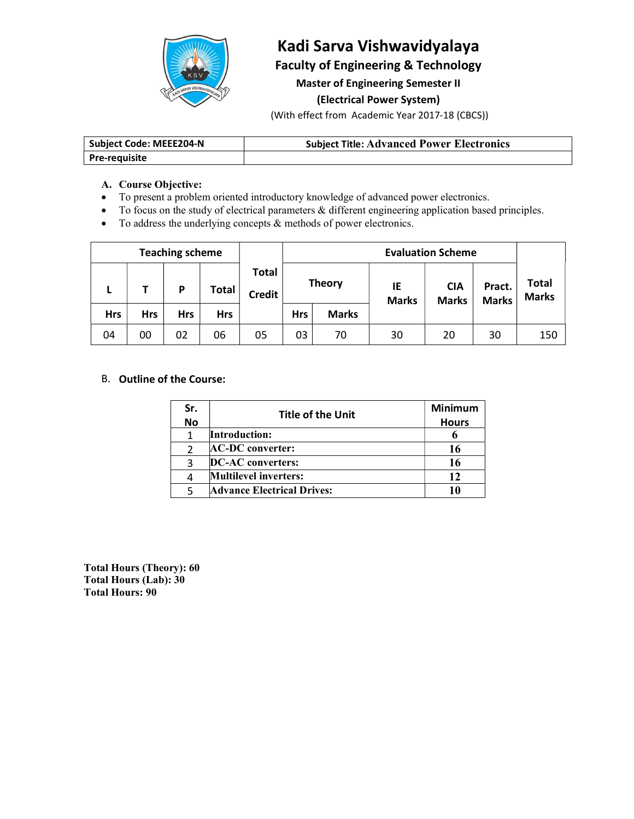

## Kadi Sarva Vishwavidyalaya Faculty of Engineering & Technology

## Master of Engineering Semester II

### (Electrical Power System)

(With effect from Academic Year 2017-18 (CBCS))

| Subject Code: MEEE204-N | <b>Subject Title: Advanced Power Electronics</b> |
|-------------------------|--------------------------------------------------|
| Pre-requisite           |                                                  |

### A. Course Objective:

- To present a problem oriented introductory knowledge of advanced power electronics.
- To focus on the study of electrical parameters & different engineering application based principles.
- $\bullet$  To address the underlying concepts  $\&$  methods of power electronics.

| <b>Teaching scheme</b> |            |            |     |            | <b>Evaluation Scheme</b>      |            |               |                    |                            |                        |                              |
|------------------------|------------|------------|-----|------------|-------------------------------|------------|---------------|--------------------|----------------------------|------------------------|------------------------------|
|                        |            |            | P   | Total      | <b>Total</b><br><b>Credit</b> |            | <b>Theory</b> | IE<br><b>Marks</b> | <b>CIA</b><br><b>Marks</b> | Pract.<br><b>Marks</b> | <b>Total</b><br><b>Marks</b> |
|                        | <b>Hrs</b> | <b>Hrs</b> | Hrs | <b>Hrs</b> |                               | <b>Hrs</b> | <b>Marks</b>  |                    |                            |                        |                              |
|                        | 04         | 00         | 02  | 06         | 05                            | 03         | 70            | 30                 | 20                         | 30                     | 150                          |

### B. Outline of the Course:

| Sr.       | <b>Title of the Unit</b>          | <b>Minimum</b> |
|-----------|-----------------------------------|----------------|
| <b>No</b> |                                   | <b>Hours</b>   |
|           | Introduction:                     |                |
|           | <b>AC-DC</b> converter:           |                |
|           | <b>DC-AC</b> converters:          |                |
|           | <b>Multilevel inverters:</b>      |                |
|           | <b>Advance Electrical Drives:</b> |                |

Total Hours (Theory): 60 Total Hours (Lab): 30 Total Hours: 90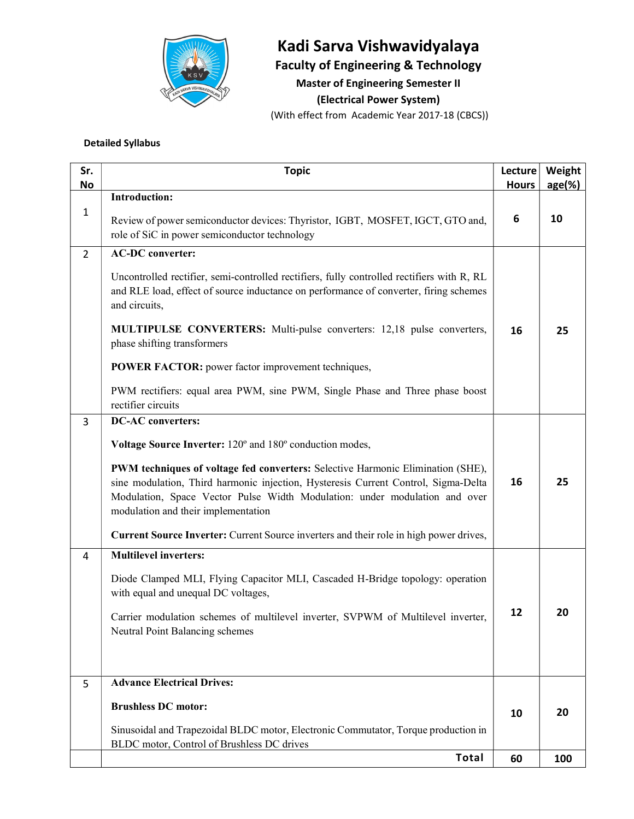

# Kadi Sarva Vishwavidyalaya

Faculty of Engineering & Technology

Master of Engineering Semester II

(Electrical Power System)

(With effect from Academic Year 2017-18 (CBCS))

### Detailed Syllabus

| Sr.<br>No      | <b>Topic</b>                                                                                                                                                                                                                                                                               | Lecture<br><b>Hours</b> | Weight<br>$age(\%)$ |
|----------------|--------------------------------------------------------------------------------------------------------------------------------------------------------------------------------------------------------------------------------------------------------------------------------------------|-------------------------|---------------------|
|                | <b>Introduction:</b>                                                                                                                                                                                                                                                                       |                         |                     |
| 1              | Review of power semiconductor devices: Thyristor, IGBT, MOSFET, IGCT, GTO and,<br>role of SiC in power semiconductor technology                                                                                                                                                            | 6                       | 10                  |
| $\overline{2}$ | <b>AC-DC</b> converter:                                                                                                                                                                                                                                                                    |                         |                     |
|                | Uncontrolled rectifier, semi-controlled rectifiers, fully controlled rectifiers with R, RL<br>and RLE load, effect of source inductance on performance of converter, firing schemes<br>and circuits,                                                                                       |                         |                     |
|                | <b>MULTIPULSE CONVERTERS:</b> Multi-pulse converters: 12,18 pulse converters,<br>phase shifting transformers                                                                                                                                                                               | 16                      | 25                  |
|                | <b>POWER FACTOR:</b> power factor improvement techniques,                                                                                                                                                                                                                                  |                         |                     |
|                | PWM rectifiers: equal area PWM, sine PWM, Single Phase and Three phase boost<br>rectifier circuits                                                                                                                                                                                         |                         |                     |
| 3              | <b>DC-AC</b> converters:                                                                                                                                                                                                                                                                   |                         |                     |
|                | Voltage Source Inverter: 120° and 180° conduction modes,                                                                                                                                                                                                                                   |                         |                     |
|                | PWM techniques of voltage fed converters: Selective Harmonic Elimination (SHE),<br>sine modulation, Third harmonic injection, Hysteresis Current Control, Sigma-Delta<br>Modulation, Space Vector Pulse Width Modulation: under modulation and over<br>modulation and their implementation | 16                      | 25                  |
|                | Current Source Inverter: Current Source inverters and their role in high power drives,                                                                                                                                                                                                     |                         |                     |
| $\overline{4}$ | <b>Multilevel inverters:</b>                                                                                                                                                                                                                                                               |                         |                     |
|                | Diode Clamped MLI, Flying Capacitor MLI, Cascaded H-Bridge topology: operation<br>with equal and unequal DC voltages,                                                                                                                                                                      |                         |                     |
|                | Carrier modulation schemes of multilevel inverter, SVPWM of Multilevel inverter,<br>Neutral Point Balancing schemes                                                                                                                                                                        | 12                      | 20                  |
| 5              | <b>Advance Electrical Drives:</b>                                                                                                                                                                                                                                                          |                         |                     |
|                | <b>Brushless DC motor:</b>                                                                                                                                                                                                                                                                 | 10                      | 20                  |
|                | Sinusoidal and Trapezoidal BLDC motor, Electronic Commutator, Torque production in<br>BLDC motor, Control of Brushless DC drives                                                                                                                                                           |                         |                     |
|                | Total                                                                                                                                                                                                                                                                                      | 60                      | 100                 |